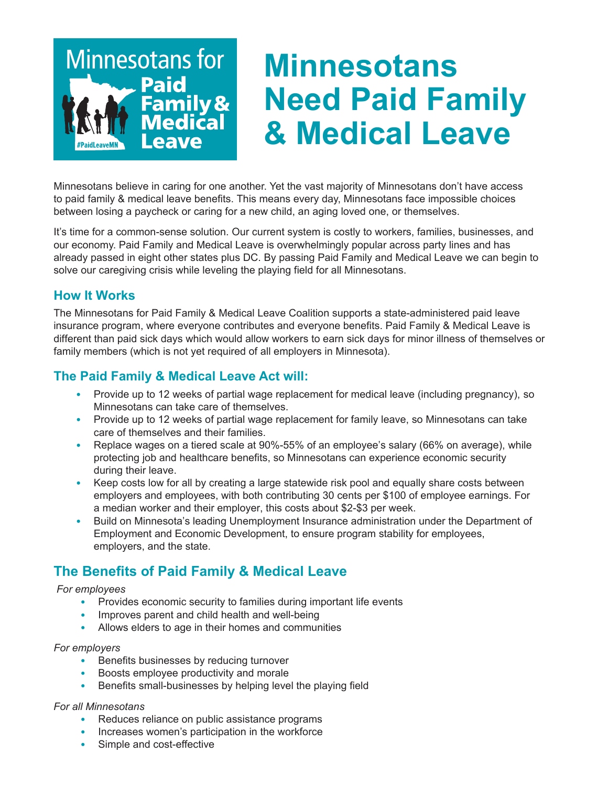

## **Minnesotans Need Paid Family & Medical Leave**

Minnesotans believe in caring for one another. Yet the vast majority of Minnesotans don't have access to paid family & medical leave benefits. This means every day, Minnesotans face impossible choices between losing a paycheck or caring for a new child, an aging loved one, or themselves.

It's time for a common-sense solution. Our current system is costly to workers, families, businesses, and our economy. Paid Family and Medical Leave is overwhelmingly popular across party lines and has already passed in eight other states plus DC. By passing Paid Family and Medical Leave we can begin to solve our caregiving crisis while leveling the playing field for all Minnesotans.

### **How It Works**

The Minnesotans for Paid Family & Medical Leave Coalition supports a state-administered paid leave insurance program, where everyone contributes and everyone benefits. Paid Family & Medical Leave is different than paid sick days which would allow workers to earn sick days for minor illness of themselves or family members (which is not yet required of all employers in Minnesota).

### **The Paid Family & Medical Leave Act will:**

- Provide up to 12 weeks of partial wage replacement for medical leave (including pregnancy), so Minnesotans can take care of themselves.
- Provide up to 12 weeks of partial wage replacement for family leave, so Minnesotans can take care of themselves and their families.
- Replace wages on a tiered scale at 90%-55% of an employee's salary (66% on average), while protecting job and healthcare benefits, so Minnesotans can experience economic security during their leave.
- Keep costs low for all by creating a large statewide risk pool and equally share costs between employers and employees, with both contributing 30 cents per \$100 of employee earnings. For a median worker and their employer, this costs about \$2-\$3 per week.
- Build on Minnesota's leading Unemployment Insurance administration under the Department of Employment and Economic Development, to ensure program stability for employees, employers, and the state.

## **The Benefits of Paid Family & Medical Leave**

#### *For employees*

- Provides economic security to families during important life events
- Improves parent and child health and well-being
- Allows elders to age in their homes and communities

#### *For employers*

- Benefits businesses by reducing turnover
- Boosts employee productivity and morale
- Benefits small-businesses by helping level the playing field

#### *For all Minnesotans*

- Reduces reliance on public assistance programs
- Increases women's participation in the workforce
- Simple and cost-effective